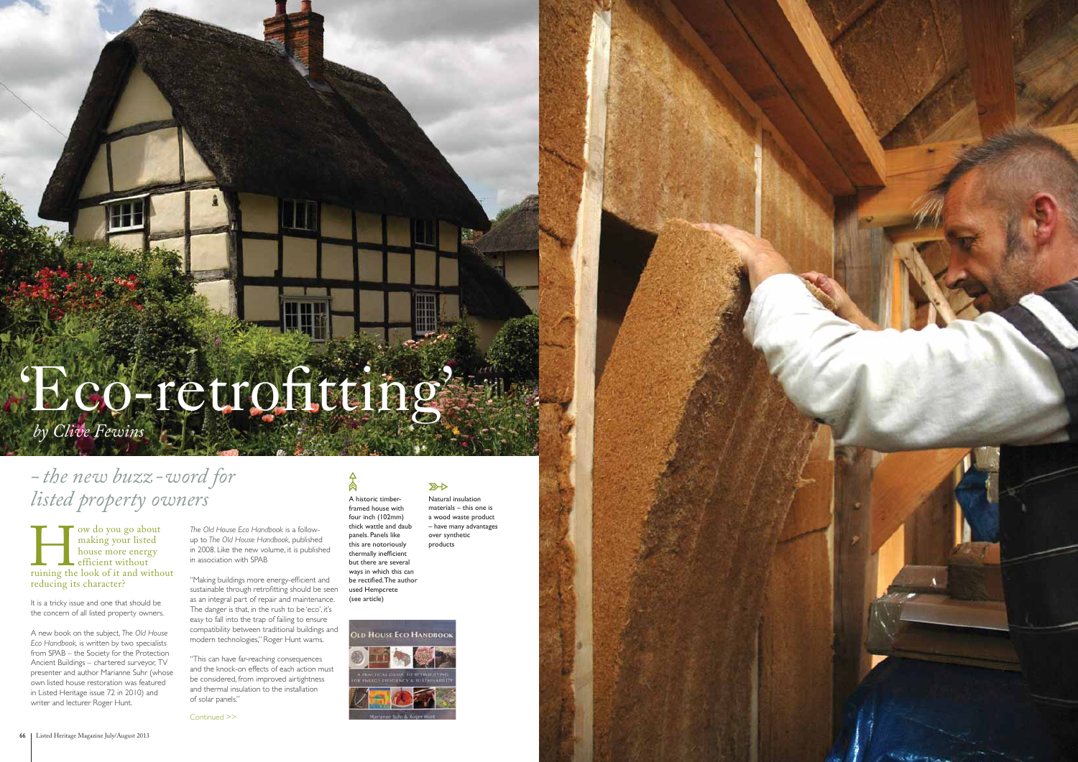We do you go about<br>
making your listed<br>
house more energy<br>
efficient without<br>
ruining the look of it and without making your listed house more energy efficient without reducing its character?

It is a tricky issue and one that should be the concern of all listed property owners.

# $A$ A historic timber-

A new book on the subject, *The Old House Eco Handbook,* is written by two specialists from SPAB – the Society for the Protection Ancient Buildings – chartered surveyor, TV presenter and author Marianne Suhr (whose own listed house restoration was featured in Listed Heritage issue 72 in 2010) and writer and lecturer Roger Hunt.

Natural insulation materials – this one is a wood waste product – have many advantages over synthetic products

 $\mathbb{Z}$ 

"Making buildings more energy-efficient and sustainable through retrofitting should be seen as an integral part of repair and maintenance. The danger is that, in the rush to be 'eco', it's easy to fall into the trap of failing to ensure compatibility between traditional buildings and modern technologies," Roger Hunt warns.

framed house with four inch (102mm) thick wattle and daub panels. Panels like this are notoriously thermally inefficient but there are several ways in which this can be rectified. The author used Hempcrete (see article)



Continued >>

# 'Eco-retrofitting'

# *- the new buzz-word for listed property owners*

*by Clive Fewins*

*The Old House Eco Handbook* is a followup to *The Old House Handbook,* published in 2008. Like the new volume, it is published in association with SPAB

"This can have far-reaching consequences and the knock-on effects of each action must be considered, from improved airtightness and thermal insulation to the installation of solar panels."

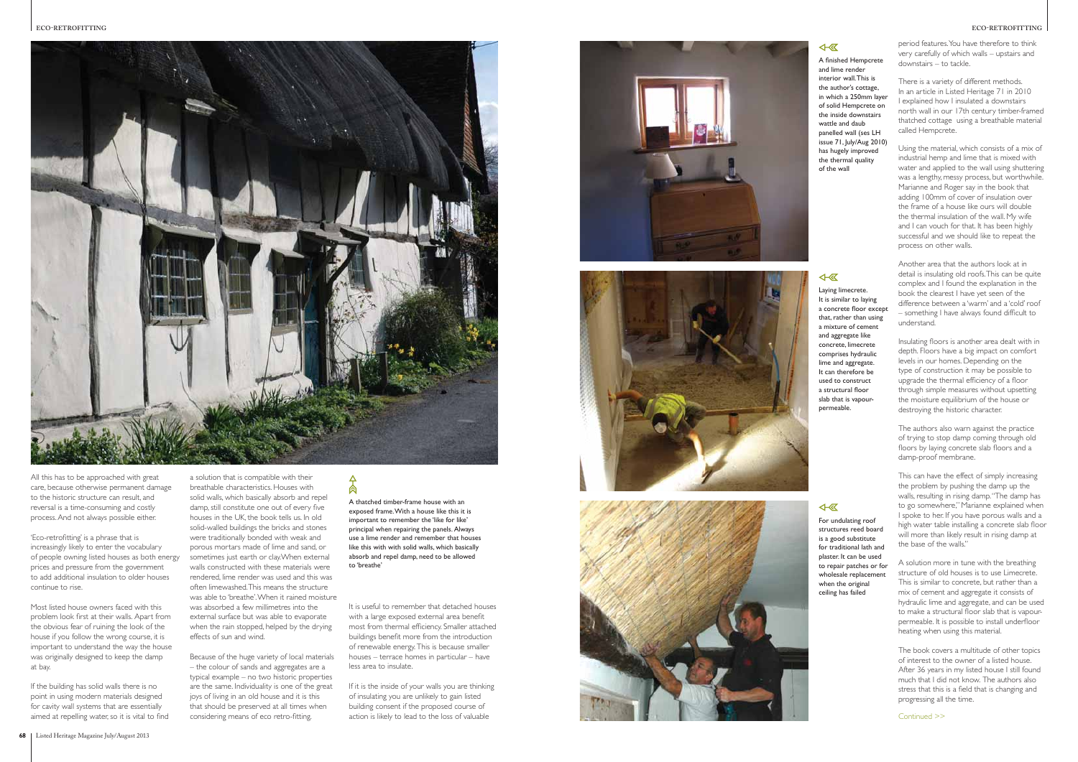#### **ECO-RETROFITTING**

#### $4\sqrt{a}$

Continued >>



All this has to be approached with great care, because otherwise permanent damage to the historic structure can result, and reversal is a time-consuming and costly process. And not always possible either.

'Eco-retrofitting' is a phrase that is increasingly likely to enter the vocabulary of people owning listed houses as both energy prices and pressure from the government to add additional insulation to older houses continue to rise.

If the building has solid walls there is no point in using modern materials designed for cavity wall systems that are essentially aimed at repelling water, so it is vital to find

Most listed house owners faced with this problem look first at their walls. Apart from the obvious fear of ruining the look of the house if you follow the wrong course, it is important to understand the way the house was originally designed to keep the damp at bay.

Because of the huge variety of local materials – the colour of sands and aggregates are a typical example – no two historic properties are the same. Individuality is one of the great joys of living in an old house and it is this that should be preserved at all times when considering means of eco retro-fitting.

## 肏

If it is the inside of your walls you are thinking of insulating you are unlikely to gain listed building consent if the proposed course of action is likely to lead to the loss of valuable







a solution that is compatible with their breathable characteristics. Houses with solid walls, which basically absorb and repel damp, still constitute one out of every five houses in the UK, the book tells us. In old solid-walled buildings the bricks and stones were traditionally bonded with weak and porous mortars made of lime and sand, or sometimes just earth or clay.When external walls constructed with these materials were rendered, lime render was used and this was often limewashed. This means the structure was able to 'breathe'. When it rained moisture was absorbed a few millimetres into the external surface but was able to evaporate when the rain stopped, helped by the drying effects of sun and wind.

Insulating floors is another area dealt with in depth. Floors have a big impact on comfort levels in our homes. Depending on the type of construction it may be possible to upgrade the thermal efficiency of a floor through simple measures without upsetting the moisture equilibrium of the house or destroying the historic character.

It is useful to remember that detached houses with a large exposed external area benefit most from thermal efficiency. Smaller attached buildings benefit more from the introduction of renewable energy. This is because smaller houses – terrace homes in particular – have less area to insulate.

period features. You have therefore to think very carefully of which walls – upstairs and downstairs – to tackle.

There is a variety of different methods. In an article in Listed Heritage 71 in 2010 I explained how I insulated a downstairs north wall in our 17th century timber-framed thatched cottage using a breathable material called Hempcrete.

A finished Hempcrete and lim e ren der interior wall. This is t h e autho r's cotta ge, i n which a 250mm l ayer of solid H empcrete o n the inside downstairs watt l e and daub panell ed w all ( s es LH issue 71 , July / A ug 2010 ) h as h u g ely imp rov ed the thermal quality of t h e w all

### 4- 区

Using the material, which consists of a mix of industrial hemp and lime that is mixed with water and applied to the wall using shuttering was a lengthy, messy process, but worthwhile. Marianne and Roger say in the book that adding 100mm of cover of insulation over the frame of a house like ours will double the thermal insulation of the wall. My wife and I can vouch for that. It has been highly successful and we should like to repeat the process on other walls.

For undulating roof stru ctures reed board is a good substitute fo r tradi tional lath and plaster. It can be used to repair patches or for wholesale replacement when the original c eili ng h as fail e d

Another area that the authors look at in detail is insulating old roofs. This can be quite complex and I found the explanation in the book the clearest I have yet seen of the difference between a 'warm' and a 'cold' roof – something I have always found difficult to understand.

The authors also warn against the practice of trying to stop damp coming through old floors by laying concrete slab floors and a damp-proof membrane.

This can have the effect of simply increasing the problem by pushing the damp up the walls, resulting in rising damp. "The damp has to go somewhere," Marianne explained when I spoke to her. If you have porous walls and a high water table installing a concrete slab floor will more than likely result in rising damp at the base of the walls."

A solution more in tune with the breathing structure of old houses is to use Limecrete. This is similar to concrete, but rather than a mix of cement and aggregate it consists of hydraulic lime and aggregate, and can be used to make a structural floor slab that is vapourpermeable. It is possible to install underfloor heating when using this material.

The book covers a multitude of other topics of interest to the owner of a listed house. After 36 years in my listed house I still found much that I did not know. The authors also stress that this is a field that is changing and progressing all the time.

A t hatch ed timber-fra m e ho u s e wi th an exposed frame. With a house like this it is important to remember the 'like for like' principal when repairing the panels. Always use a lime render and remember that houses like this with with solid walls, which basically absorb and repel damp, need to be allowed to ' breat h e '

L ayi ng lim e crete. I t is similar to l ayi ng a concrete floor except that, rather than using a mixture of c e ment and aggre gate like concrete, limecrete comp ris es hydraulic lim e and aggre gate. I t can t herefore b e used to construct a structural floor sl ab t hat is v apourpermeable.